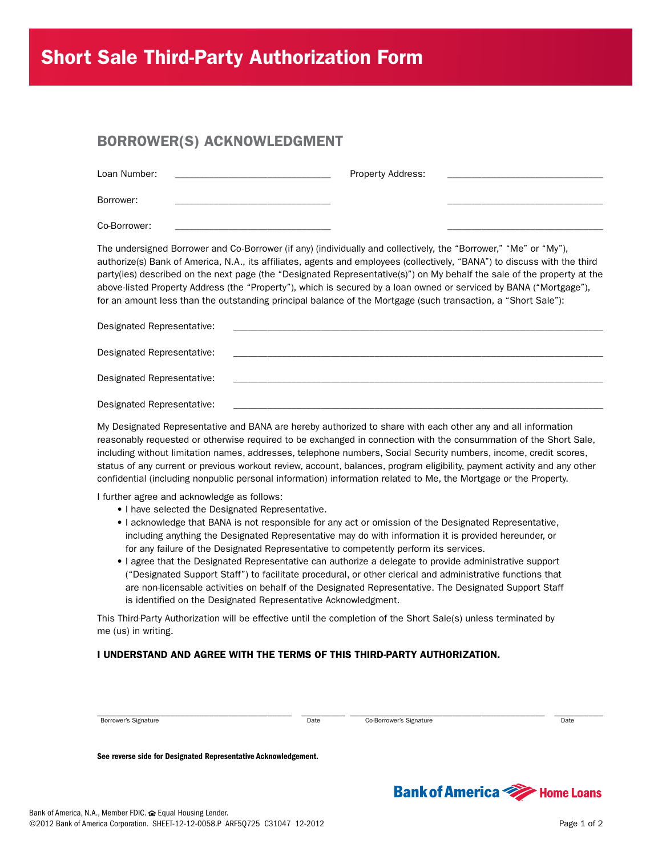# Short Sale Third-Party Authorization Form

### BORROWER(S) ACKNOWLEDGMENT

| Loan Number: | <b>Property Address:</b> |  |
|--------------|--------------------------|--|
| Borrower:    |                          |  |
| Co-Borrower: |                          |  |

The undersigned Borrower and Co-Borrower (if any) (individually and collectively, the "Borrower," "Me" or "My"), authorize(s) Bank of America, N.A., its affiliates, agents and employees (collectively, "BANA") to discuss with the third party(ies) described on the next page (the "Designated Representative(s)") on My behalf the sale of the property at the above-listed Property Address (the "Property"), which is secured by a loan owned or serviced by BANA ("Mortgage"), for an amount less than the outstanding principal balance of the Mortgage (such transaction, a "Short Sale"):

| Designated Representative: | <u> 1980 - Jan James Santan, masjid a shekara ta 1980 - An tsara ta 1980 - An tsara ta 1980 - An tsara ta 1980 -</u>    |
|----------------------------|-------------------------------------------------------------------------------------------------------------------------|
| Designated Representative: | <u> 1989 - Johann Harry Harry Harry Harry Harry Harry Harry Harry Harry Harry Harry Harry Harry Harry Harry Harry H</u> |
| Designated Representative: | the control of the control of the control of                                                                            |
| Designated Representative: |                                                                                                                         |

My Designated Representative and BANA are hereby authorized to share with each other any and all information reasonably requested or otherwise required to be exchanged in connection with the consummation of the Short Sale, including without limitation names, addresses, telephone numbers, Social Security numbers, income, credit scores, status of any current or previous workout review, account, balances, program eligibility, payment activity and any other confidential (including nonpublic personal information) information related to Me, the Mortgage or the Property.

I further agree and acknowledge as follows:

- I have selected the Designated Representative.
- I acknowledge that BANA is not responsible for any act or omission of the Designated Representative, including anything the Designated Representative may do with information it is provided hereunder, or for any failure of the Designated Representative to competently perform its services.
- I agree that the Designated Representative can authorize a delegate to provide administrative support ("Designated Support Staff") to facilitate procedural, or other clerical and administrative functions that are non-licensable activities on behalf of the Designated Representative. The Designated Support Staff is identified on the Designated Representative Acknowledgment.

This Third-Party Authorization will be effective until the completion of the Short Sale(s) unless terminated by me (us) in writing.

#### I UNDERSTAND AND AGREE WITH THE TERMS OF THIS THIRD-PARTY AUTHORIZATION.

Borrower's Signature Date Co-Borrower's Signature Date Co-Borrower's Signature Date

\_\_\_\_\_\_\_\_\_\_\_\_\_\_\_\_\_\_\_\_\_\_\_\_\_\_\_\_\_\_\_\_\_\_\_\_\_\_\_\_ \_\_\_\_\_\_\_\_\_ \_\_\_\_\_\_\_\_\_\_\_\_\_\_\_\_\_\_\_\_\_\_\_\_\_\_\_\_\_\_\_\_\_\_\_\_\_\_\_\_ \_\_\_\_\_\_\_\_\_\_

See reverse side for Designated Representative Acknowledgement.